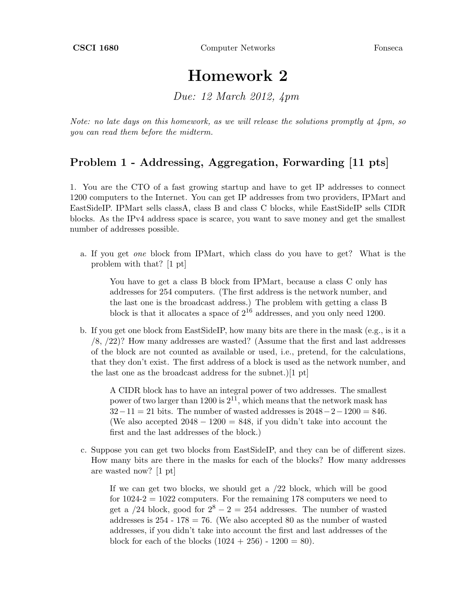## Homework 2

Due: 12 March 2012, 4pm

Note: no late days on this homework, as we will release the solutions promptly at  $\Delta p m$ , so you can read them before the midterm.

## Problem 1 - Addressing, Aggregation, Forwarding [11 pts]

1. You are the CTO of a fast growing startup and have to get IP addresses to connect 1200 computers to the Internet. You can get IP addresses from two providers, IPMart and EastSideIP. IPMart sells classA, class B and class C blocks, while EastSideIP sells CIDR blocks. As the IPv4 address space is scarce, you want to save money and get the smallest number of addresses possible.

a. If you get one block from IPMart, which class do you have to get? What is the problem with that? [1 pt]

You have to get a class B block from IPMart, because a class C only has addresses for 254 computers. (The first address is the network number, and the last one is the broadcast address.) The problem with getting a class B block is that it allocates a space of  $2^{16}$  addresses, and you only need 1200.

b. If you get one block from EastSideIP, how many bits are there in the mask (e.g., is it a /8, /22)? How many addresses are wasted? (Assume that the first and last addresses of the block are not counted as available or used, i.e., pretend, for the calculations, that they don't exist. The first address of a block is used as the network number, and the last one as the broadcast address for the subnet.)[1 pt]

A CIDR block has to have an integral power of two addresses. The smallest power of two larger than 1200 is  $2^{11}$ , which means that the network mask has  $32-11 = 21$  bits. The number of wasted addresses is  $2048-2-1200 = 846$ . (We also accepted  $2048 - 1200 = 848$ , if you didn't take into account the first and the last addresses of the block.)

c. Suppose you can get two blocks from EastSideIP, and they can be of different sizes. How many bits are there in the masks for each of the blocks? How many addresses are wasted now? [1 pt]

If we can get two blocks, we should get a /22 block, which will be good for  $1024-2 = 1022$  computers. For the remaining 178 computers we need to get a  $/24$  block, good for  $2^8 - 2 = 254$  addresses. The number of wasted addresses is  $254 - 178 = 76$ . (We also accepted 80 as the number of wasted addresses, if you didn't take into account the first and last addresses of the block for each of the blocks  $(1024 + 256) - 1200 = 80$ .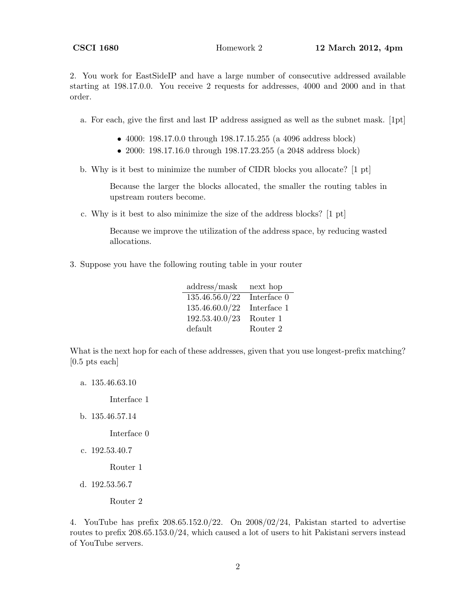2. You work for EastSideIP and have a large number of consecutive addressed available starting at 198.17.0.0. You receive 2 requests for addresses, 4000 and 2000 and in that order.

a. For each, give the first and last IP address assigned as well as the subnet mask. [1pt]

- 4000: 198.17.0.0 through 198.17.15.255 (a 4096 address block)
- 2000: 198.17.16.0 through 198.17.23.255 (a 2048 address block)
- b. Why is it best to minimize the number of CIDR blocks you allocate? [1 pt]

Because the larger the blocks allocated, the smaller the routing tables in upstream routers become.

c. Why is it best to also minimize the size of the address blocks? [1 pt]

Because we improve the utilization of the address space, by reducing wasted allocations.

3. Suppose you have the following routing table in your router

| address/mask   | next hop    |
|----------------|-------------|
| 135.46.56.0/22 | Interface 0 |
| 135.46.60.0/22 | Interface 1 |
| 192.53.40.0/23 | Router 1    |
| default        | Router 2    |

What is the next hop for each of these addresses, given that you use longest-prefix matching? [0.5 pts each]

a. 135.46.63.10

Interface 1

b. 135.46.57.14

Interface 0

c. 192.53.40.7

Router 1

d. 192.53.56.7

Router 2

4. YouTube has prefix 208.65.152.0/22. On 2008/02/24, Pakistan started to advertise routes to prefix 208.65.153.0/24, which caused a lot of users to hit Pakistani servers instead of YouTube servers.